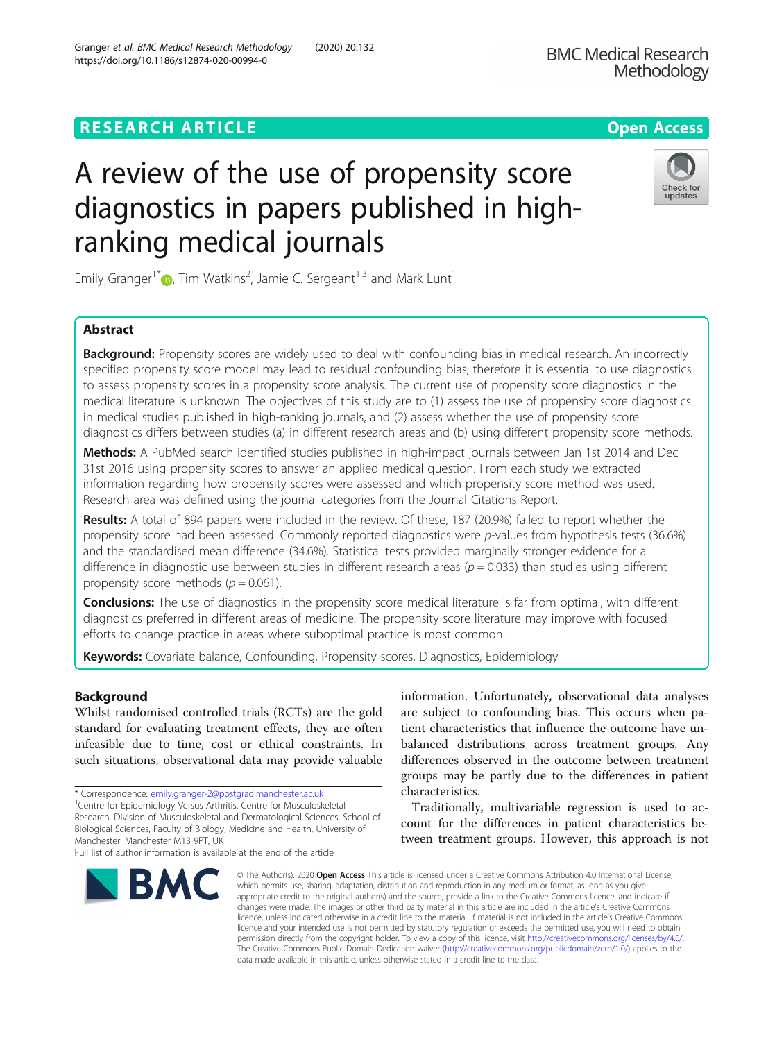# **RESEARCH ARTICLE Example 2014 12:30 The Contract of Contract ACCESS**

# A review of the use of propensity score diagnostics in papers published in highranking medical journals

Emily Granger<sup>1[\\*](http://orcid.org/0000-0003-0134-1467)</sup> $\circledbullet$ , Tim Watkins<sup>2</sup>, Jamie C. Sergeant<sup>1,3</sup> and Mark Lunt<sup>1</sup>

# Abstract

Background: Propensity scores are widely used to deal with confounding bias in medical research. An incorrectly specified propensity score model may lead to residual confounding bias; therefore it is essential to use diagnostics to assess propensity scores in a propensity score analysis. The current use of propensity score diagnostics in the medical literature is unknown. The objectives of this study are to (1) assess the use of propensity score diagnostics in medical studies published in high-ranking journals, and (2) assess whether the use of propensity score diagnostics differs between studies (a) in different research areas and (b) using different propensity score methods.

Methods: A PubMed search identified studies published in high-impact journals between Jan 1st 2014 and Dec 31st 2016 using propensity scores to answer an applied medical question. From each study we extracted information regarding how propensity scores were assessed and which propensity score method was used. Research area was defined using the journal categories from the Journal Citations Report.

Results: A total of 894 papers were included in the review. Of these, 187 (20.9%) failed to report whether the propensity score had been assessed. Commonly reported diagnostics were p-values from hypothesis tests (36.6%) and the standardised mean difference (34.6%). Statistical tests provided marginally stronger evidence for a difference in diagnostic use between studies in different research areas ( $p = 0.033$ ) than studies using different propensity score methods ( $p = 0.061$ ).

Conclusions: The use of diagnostics in the propensity score medical literature is far from optimal, with different diagnostics preferred in different areas of medicine. The propensity score literature may improve with focused efforts to change practice in areas where suboptimal practice is most common.

Keywords: Covariate balance, Confounding, Propensity scores, Diagnostics, Epidemiology

# Background

Whilst randomised controlled trials (RCTs) are the gold standard for evaluating treatment effects, they are often infeasible due to time, cost or ethical constraints. In such situations, observational data may provide valuable

\* Correspondence: [emily.granger-2@postgrad.manchester.ac.uk](mailto:emily.granger-2@postgrad.manchester.ac.uk) <sup>1</sup>

<sup>1</sup> Centre for Epidemiology Versus Arthritis, Centre for Musculoskeletal Research, Division of Musculoskeletal and Dermatological Sciences, School of Biological Sciences, Faculty of Biology, Medicine and Health, University of Manchester, Manchester M13 9PT, UK

Full list of author information is available at the end of the article

# balanced distributions across treatment groups. Any differences observed in the outcome between treatment groups may be partly due to the differences in patient characteristics.

Traditionally, multivariable regression is used to account for the differences in patient characteristics between treatment groups. However, this approach is not

information. Unfortunately, observational data analyses are subject to confounding bias. This occurs when patient characteristics that influence the outcome have un-

© The Author(s), 2020 **Open Access** This article is licensed under a Creative Commons Attribution 4.0 International License, which permits use, sharing, adaptation, distribution and reproduction in any medium or format, as long as you give appropriate credit to the original author(s) and the source, provide a link to the Creative Commons licence, and indicate if changes were made. The images or other third party material in this article are included in the article's Creative Commons licence, unless indicated otherwise in a credit line to the material. If material is not included in the article's Creative Commons licence and your intended use is not permitted by statutory regulation or exceeds the permitted use, you will need to obtain permission directly from the copyright holder. To view a copy of this licence, visit [http://creativecommons.org/licenses/by/4.0/.](http://creativecommons.org/licenses/by/4.0/) The Creative Commons Public Domain Dedication waiver [\(http://creativecommons.org/publicdomain/zero/1.0/](http://creativecommons.org/publicdomain/zero/1.0/)) applies to the data made available in this article, unless otherwise stated in a credit line to the data.

**BMC** 





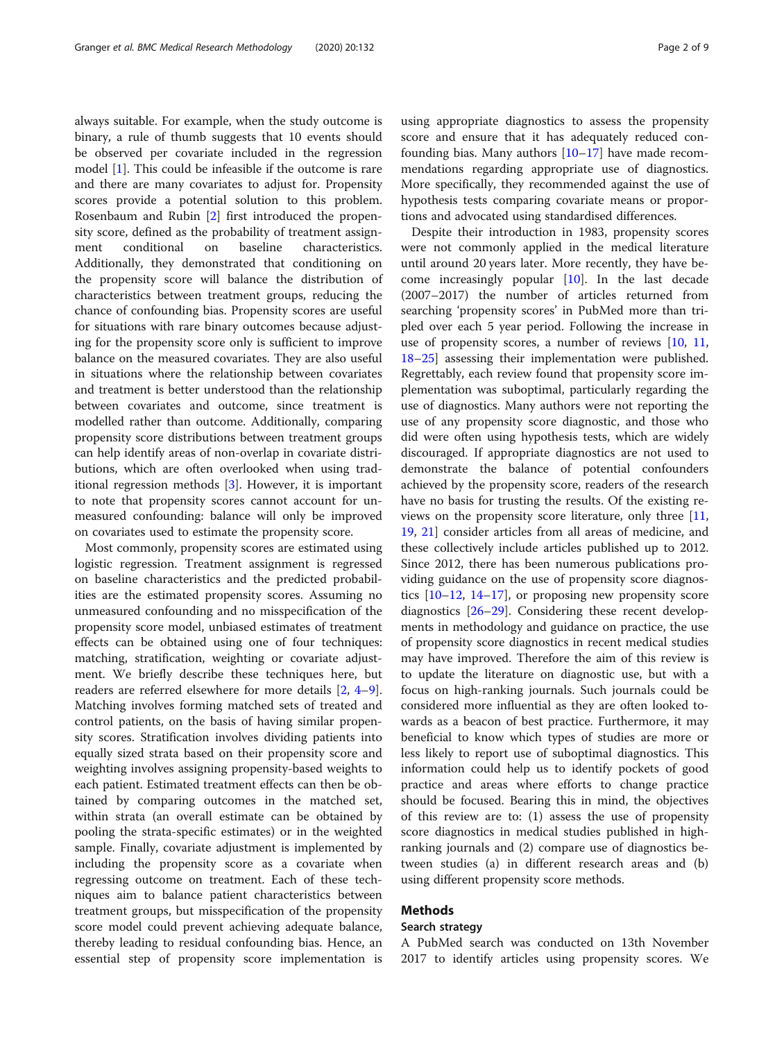always suitable. For example, when the study outcome is binary, a rule of thumb suggests that 10 events should be observed per covariate included in the regression model [\[1](#page-8-0)]. This could be infeasible if the outcome is rare and there are many covariates to adjust for. Propensity scores provide a potential solution to this problem. Rosenbaum and Rubin [[2\]](#page-8-0) first introduced the propensity score, defined as the probability of treatment assignment conditional on baseline characteristics. Additionally, they demonstrated that conditioning on the propensity score will balance the distribution of characteristics between treatment groups, reducing the chance of confounding bias. Propensity scores are useful for situations with rare binary outcomes because adjusting for the propensity score only is sufficient to improve balance on the measured covariates. They are also useful in situations where the relationship between covariates and treatment is better understood than the relationship between covariates and outcome, since treatment is modelled rather than outcome. Additionally, comparing propensity score distributions between treatment groups can help identify areas of non-overlap in covariate distributions, which are often overlooked when using traditional regression methods [[3\]](#page-8-0). However, it is important to note that propensity scores cannot account for unmeasured confounding: balance will only be improved on covariates used to estimate the propensity score.

Most commonly, propensity scores are estimated using logistic regression. Treatment assignment is regressed on baseline characteristics and the predicted probabilities are the estimated propensity scores. Assuming no unmeasured confounding and no misspecification of the propensity score model, unbiased estimates of treatment effects can be obtained using one of four techniques: matching, stratification, weighting or covariate adjustment. We briefly describe these techniques here, but readers are referred elsewhere for more details [[2,](#page-8-0) [4](#page-8-0)–[9](#page-8-0)]. Matching involves forming matched sets of treated and control patients, on the basis of having similar propensity scores. Stratification involves dividing patients into equally sized strata based on their propensity score and weighting involves assigning propensity-based weights to each patient. Estimated treatment effects can then be obtained by comparing outcomes in the matched set, within strata (an overall estimate can be obtained by pooling the strata-specific estimates) or in the weighted sample. Finally, covariate adjustment is implemented by including the propensity score as a covariate when regressing outcome on treatment. Each of these techniques aim to balance patient characteristics between treatment groups, but misspecification of the propensity score model could prevent achieving adequate balance, thereby leading to residual confounding bias. Hence, an essential step of propensity score implementation is

using appropriate diagnostics to assess the propensity score and ensure that it has adequately reduced confounding bias. Many authors [[10](#page-8-0)–[17](#page-8-0)] have made recommendations regarding appropriate use of diagnostics. More specifically, they recommended against the use of hypothesis tests comparing covariate means or proportions and advocated using standardised differences.

Despite their introduction in 1983, propensity scores were not commonly applied in the medical literature until around 20 years later. More recently, they have become increasingly popular [\[10](#page-8-0)]. In the last decade (2007–2017) the number of articles returned from searching 'propensity scores' in PubMed more than tripled over each 5 year period. Following the increase in use of propensity scores, a number of reviews [\[10,](#page-8-0) [11](#page-8-0), [18](#page-8-0)–[25](#page-8-0)] assessing their implementation were published. Regrettably, each review found that propensity score implementation was suboptimal, particularly regarding the use of diagnostics. Many authors were not reporting the use of any propensity score diagnostic, and those who did were often using hypothesis tests, which are widely discouraged. If appropriate diagnostics are not used to demonstrate the balance of potential confounders achieved by the propensity score, readers of the research have no basis for trusting the results. Of the existing reviews on the propensity score literature, only three [[11](#page-8-0), [19,](#page-8-0) [21](#page-8-0)] consider articles from all areas of medicine, and these collectively include articles published up to 2012. Since 2012, there has been numerous publications providing guidance on the use of propensity score diagnostics  $[10-12, 14-17]$  $[10-12, 14-17]$  $[10-12, 14-17]$  $[10-12, 14-17]$  $[10-12, 14-17]$  $[10-12, 14-17]$  $[10-12, 14-17]$  $[10-12, 14-17]$ , or proposing new propensity score diagnostics [[26](#page-8-0)–[29](#page-8-0)]. Considering these recent developments in methodology and guidance on practice, the use of propensity score diagnostics in recent medical studies may have improved. Therefore the aim of this review is to update the literature on diagnostic use, but with a focus on high-ranking journals. Such journals could be considered more influential as they are often looked towards as a beacon of best practice. Furthermore, it may beneficial to know which types of studies are more or less likely to report use of suboptimal diagnostics. This information could help us to identify pockets of good practice and areas where efforts to change practice should be focused. Bearing this in mind, the objectives of this review are to: (1) assess the use of propensity score diagnostics in medical studies published in highranking journals and (2) compare use of diagnostics between studies (a) in different research areas and (b) using different propensity score methods.

# Methods

# Search strategy

A PubMed search was conducted on 13th November 2017 to identify articles using propensity scores. We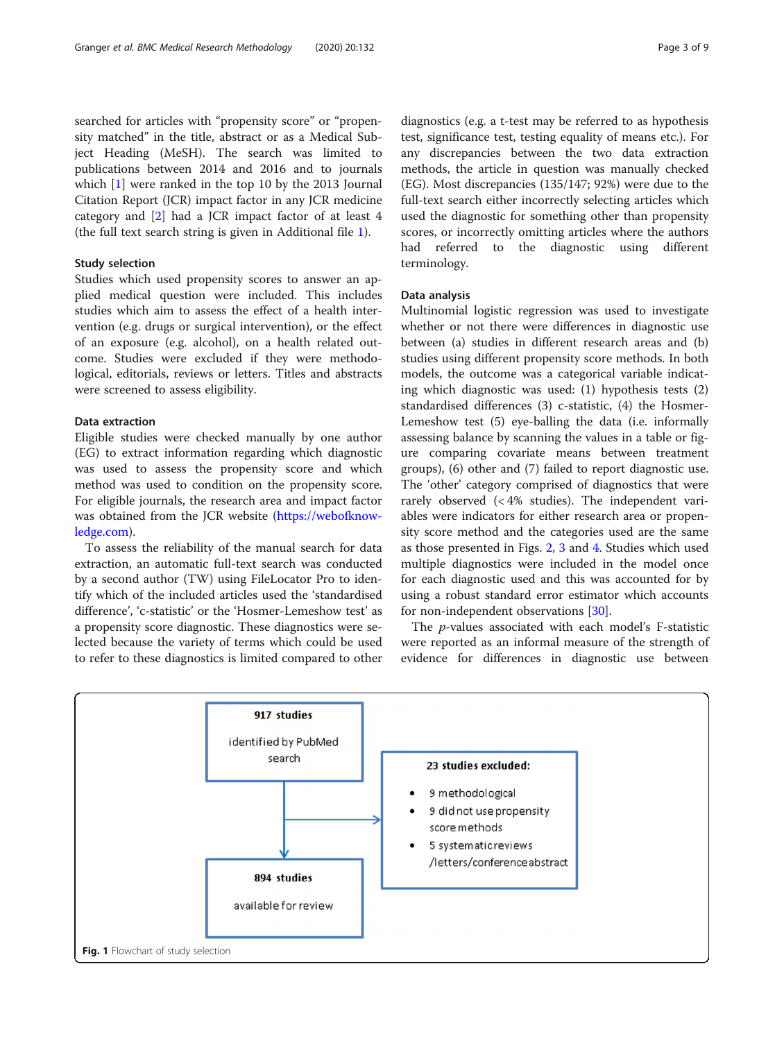<span id="page-2-0"></span>searched for articles with "propensity score" or "propensity matched" in the title, abstract or as a Medical Subject Heading (MeSH). The search was limited to publications between 2014 and 2016 and to journals which [\[1](#page-8-0)] were ranked in the top 10 by the 2013 Journal Citation Report (JCR) impact factor in any JCR medicine category and [[2\]](#page-8-0) had a JCR impact factor of at least 4 (the full text search string is given in Additional file [1\)](#page-7-0).

# Study selection

Studies which used propensity scores to answer an applied medical question were included. This includes studies which aim to assess the effect of a health intervention (e.g. drugs or surgical intervention), or the effect of an exposure (e.g. alcohol), on a health related outcome. Studies were excluded if they were methodological, editorials, reviews or letters. Titles and abstracts were screened to assess eligibility.

## Data extraction

Eligible studies were checked manually by one author (EG) to extract information regarding which diagnostic was used to assess the propensity score and which method was used to condition on the propensity score. For eligible journals, the research area and impact factor was obtained from the JCR website [\(https://webofknow](https://webofknowledge.com)[ledge.com\)](https://webofknowledge.com).

To assess the reliability of the manual search for data extraction, an automatic full-text search was conducted by a second author (TW) using FileLocator Pro to identify which of the included articles used the 'standardised difference', 'c-statistic' or the 'Hosmer-Lemeshow test' as a propensity score diagnostic. These diagnostics were selected because the variety of terms which could be used to refer to these diagnostics is limited compared to other

diagnostics (e.g. a t-test may be referred to as hypothesis test, significance test, testing equality of means etc.). For any discrepancies between the two data extraction methods, the article in question was manually checked (EG). Most discrepancies (135/147; 92%) were due to the full-text search either incorrectly selecting articles which used the diagnostic for something other than propensity scores, or incorrectly omitting articles where the authors had referred to the diagnostic using different terminology.

## Data analysis

Multinomial logistic regression was used to investigate whether or not there were differences in diagnostic use between (a) studies in different research areas and (b) studies using different propensity score methods. In both models, the outcome was a categorical variable indicating which diagnostic was used: (1) hypothesis tests (2) standardised differences (3) c-statistic, (4) the Hosmer-Lemeshow test (5) eye-balling the data (i.e. informally assessing balance by scanning the values in a table or figure comparing covariate means between treatment groups), (6) other and (7) failed to report diagnostic use. The 'other' category comprised of diagnostics that were rarely observed (< 4% studies). The independent variables were indicators for either research area or propensity score method and the categories used are the same as those presented in Figs. [2,](#page-3-0) [3](#page-4-0) and [4](#page-5-0). Studies which used multiple diagnostics were included in the model once for each diagnostic used and this was accounted for by using a robust standard error estimator which accounts for non-independent observations [[30\]](#page-8-0).

The p-values associated with each model's F-statistic were reported as an informal measure of the strength of evidence for differences in diagnostic use between

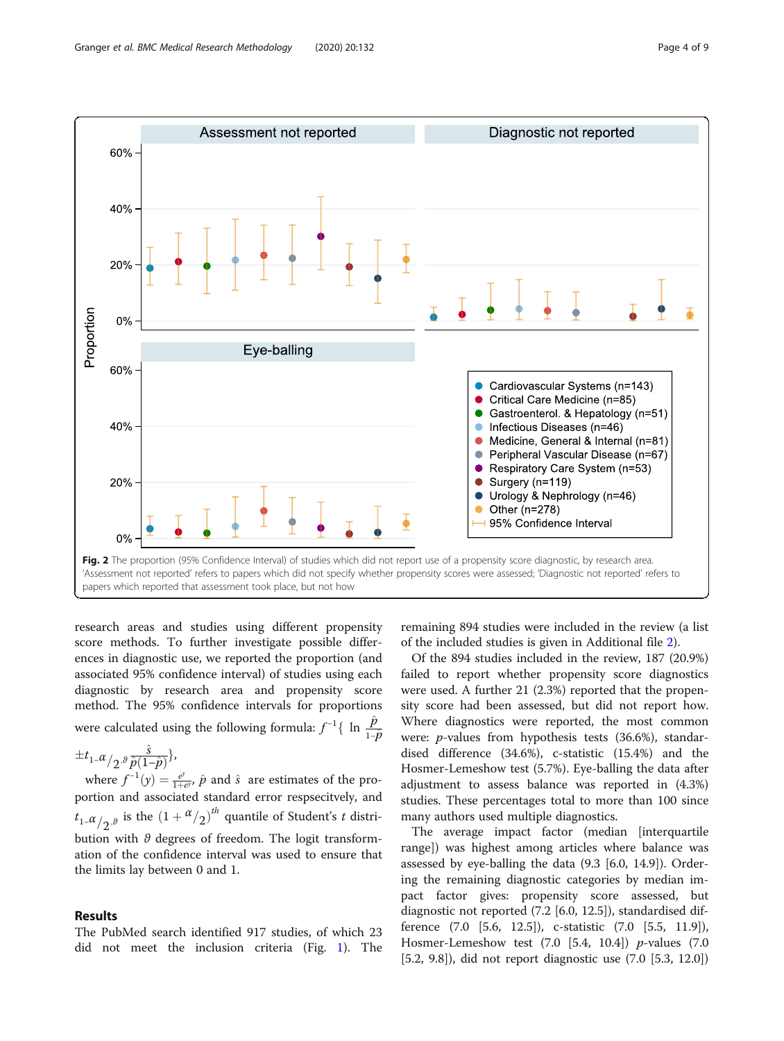<span id="page-3-0"></span>

papers which reported that assessment took place, but not how

research areas and studies using different propensity score methods. To further investigate possible differences in diagnostic use, we reported the proportion (and associated 95% confidence interval) of studies using each diagnostic by research area and propensity score method. The 95% confidence intervals for proportions were calculated using the following formula:  $f^{-1}$ { ln  $\frac{\hat{p}}{1-\hat{p}}$ 

$$
\pm t_{1-\alpha}/2,\vartheta\frac{\hat{s}}{\hat{p}(1-\hat{p})}\},
$$

 $p^{\mu_1} = \alpha/2, \theta \hat{p}(1-\hat{p})^f$ <br>where  $f^{-1}(y) = \frac{e^y}{1+e^y}, \hat{p}$  and  $\hat{s}$  are estimates of the proportion and associated standard error respsecitvely, and  $t_{1-}\alpha_{/2}^{},{}_{\beta}$  is the  $\left(1+\frac{\alpha_{/2}}{2}\right)^{th}$  quantile of Student's  $t$  distribution with  $\theta$  degrees of freedom. The logit transformation of the confidence interval was used to ensure that the limits lay between 0 and 1.

## Results

The PubMed search identified 917 studies, of which 23 did not meet the inclusion criteria (Fig. [1\)](#page-2-0). The

remaining 894 studies were included in the review (a list of the included studies is given in Additional file [2\)](#page-7-0).

Of the 894 studies included in the review, 187 (20.9%) failed to report whether propensity score diagnostics were used. A further 21 (2.3%) reported that the propensity score had been assessed, but did not report how. Where diagnostics were reported, the most common were: p-values from hypothesis tests (36.6%), standardised difference (34.6%), c-statistic (15.4%) and the Hosmer-Lemeshow test (5.7%). Eye-balling the data after adjustment to assess balance was reported in (4.3%) studies. These percentages total to more than 100 since many authors used multiple diagnostics.

The average impact factor (median [interquartile range]) was highest among articles where balance was assessed by eye-balling the data (9.3 [6.0, 14.9]). Ordering the remaining diagnostic categories by median impact factor gives: propensity score assessed, but diagnostic not reported (7.2 [6.0, 12.5]), standardised difference (7.0 [5.6, 12.5]), c-statistic (7.0 [5.5, 11.9]), Hosmer-Lemeshow test  $(7.0 \; [5.4, 10.4])$  *p*-values  $(7.0 \; [5.4, 10.4])$ [5.2, 9.8]), did not report diagnostic use (7.0 [5.3, 12.0])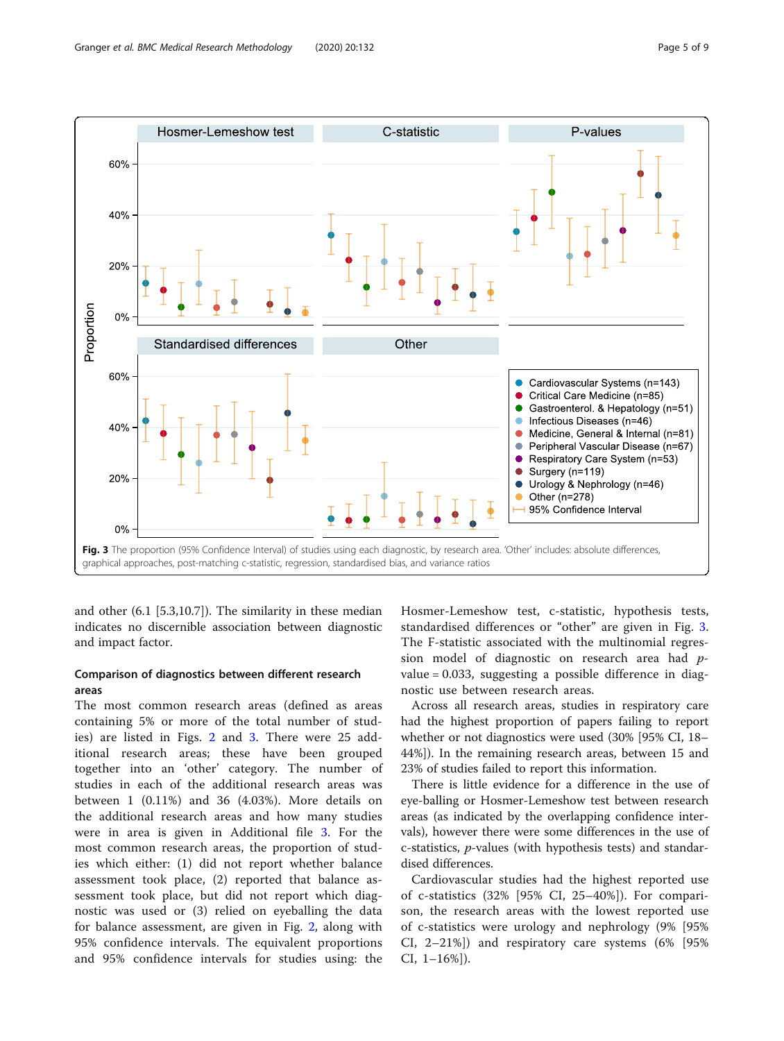

<span id="page-4-0"></span>

and other (6.1 [5.3,10.7]). The similarity in these median indicates no discernible association between diagnostic and impact factor.

# Comparison of diagnostics between different research areas

The most common research areas (defined as areas containing 5% or more of the total number of studies) are listed in Figs. [2](#page-3-0) and 3. There were 25 additional research areas; these have been grouped together into an 'other' category. The number of studies in each of the additional research areas was between 1 (0.11%) and 36 (4.03%). More details on the additional research areas and how many studies were in area is given in Additional file [3.](#page-7-0) For the most common research areas, the proportion of studies which either: (1) did not report whether balance assessment took place, (2) reported that balance assessment took place, but did not report which diagnostic was used or (3) relied on eyeballing the data for balance assessment, are given in Fig. [2](#page-3-0), along with 95% confidence intervals. The equivalent proportions and 95% confidence intervals for studies using: the

Hosmer-Lemeshow test, c-statistic, hypothesis tests, standardised differences or "other" are given in Fig. 3. The F-statistic associated with the multinomial regression model of diagnostic on research area had pvalue = 0.033, suggesting a possible difference in diagnostic use between research areas.

Across all research areas, studies in respiratory care had the highest proportion of papers failing to report whether or not diagnostics were used (30% [95% CI, 18– 44%]). In the remaining research areas, between 15 and 23% of studies failed to report this information.

There is little evidence for a difference in the use of eye-balling or Hosmer-Lemeshow test between research areas (as indicated by the overlapping confidence intervals), however there were some differences in the use of c-statistics, p-values (with hypothesis tests) and standardised differences.

Cardiovascular studies had the highest reported use of c-statistics (32% [95% CI, 25–40%]). For comparison, the research areas with the lowest reported use of c-statistics were urology and nephrology (9% [95% CI, 2–21%]) and respiratory care systems (6% [95%  $CI, 1-16\%$ ]).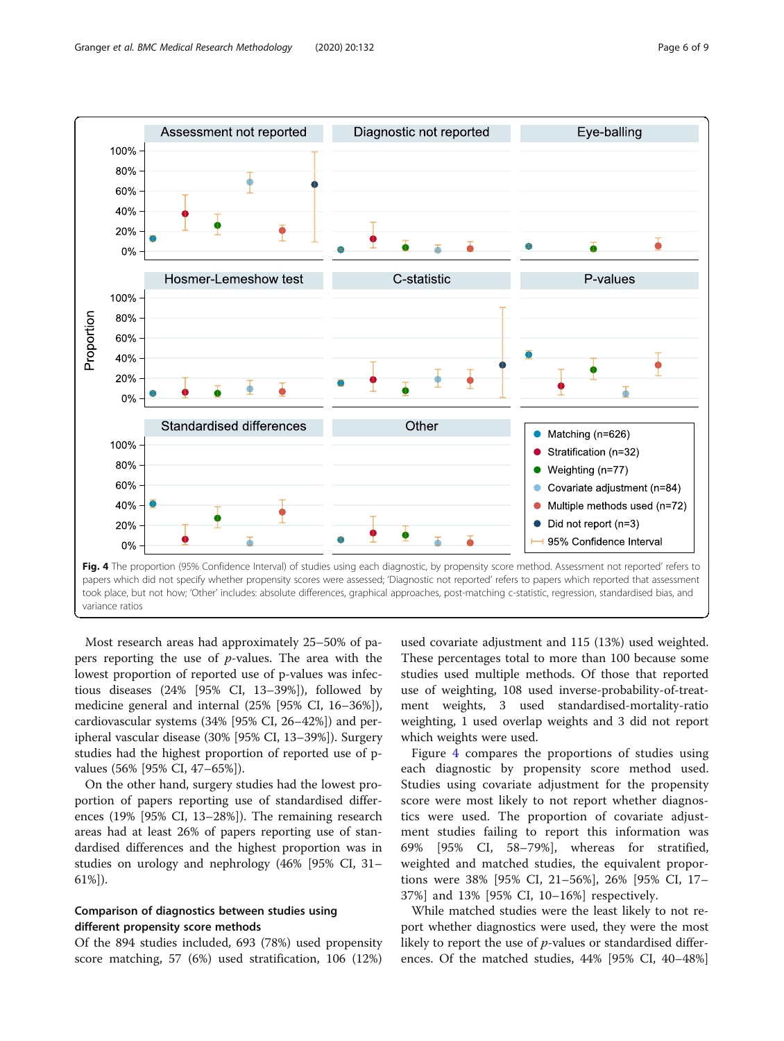<span id="page-5-0"></span>



Most research areas had approximately 25–50% of papers reporting the use of  $p$ -values. The area with the lowest proportion of reported use of p-values was infectious diseases (24% [95% CI, 13–39%]), followed by medicine general and internal (25% [95% CI, 16–36%]), cardiovascular systems (34% [95% CI, 26–42%]) and peripheral vascular disease (30% [95% CI, 13–39%]). Surgery studies had the highest proportion of reported use of pvalues (56% [95% CI, 47–65%]).

On the other hand, surgery studies had the lowest proportion of papers reporting use of standardised differences (19% [95% CI, 13–28%]). The remaining research areas had at least 26% of papers reporting use of standardised differences and the highest proportion was in studies on urology and nephrology (46% [95% CI, 31– 61%]).

# Comparison of diagnostics between studies using different propensity score methods

Of the 894 studies included, 693 (78%) used propensity score matching, 57 (6%) used stratification, 106 (12%)

used covariate adjustment and 115 (13%) used weighted. These percentages total to more than 100 because some studies used multiple methods. Of those that reported use of weighting, 108 used inverse-probability-of-treatment weights, 3 used standardised-mortality-ratio weighting, 1 used overlap weights and 3 did not report which weights were used.

Figure 4 compares the proportions of studies using each diagnostic by propensity score method used. Studies using covariate adjustment for the propensity score were most likely to not report whether diagnostics were used. The proportion of covariate adjustment studies failing to report this information was 69% [95% CI, 58–79%], whereas for stratified, weighted and matched studies, the equivalent proportions were 38% [95% CI, 21–56%], 26% [95% CI, 17– 37%] and 13% [95% CI, 10–16%] respectively.

While matched studies were the least likely to not report whether diagnostics were used, they were the most likely to report the use of *p*-values or standardised differences. Of the matched studies, 44% [95% CI, 40–48%]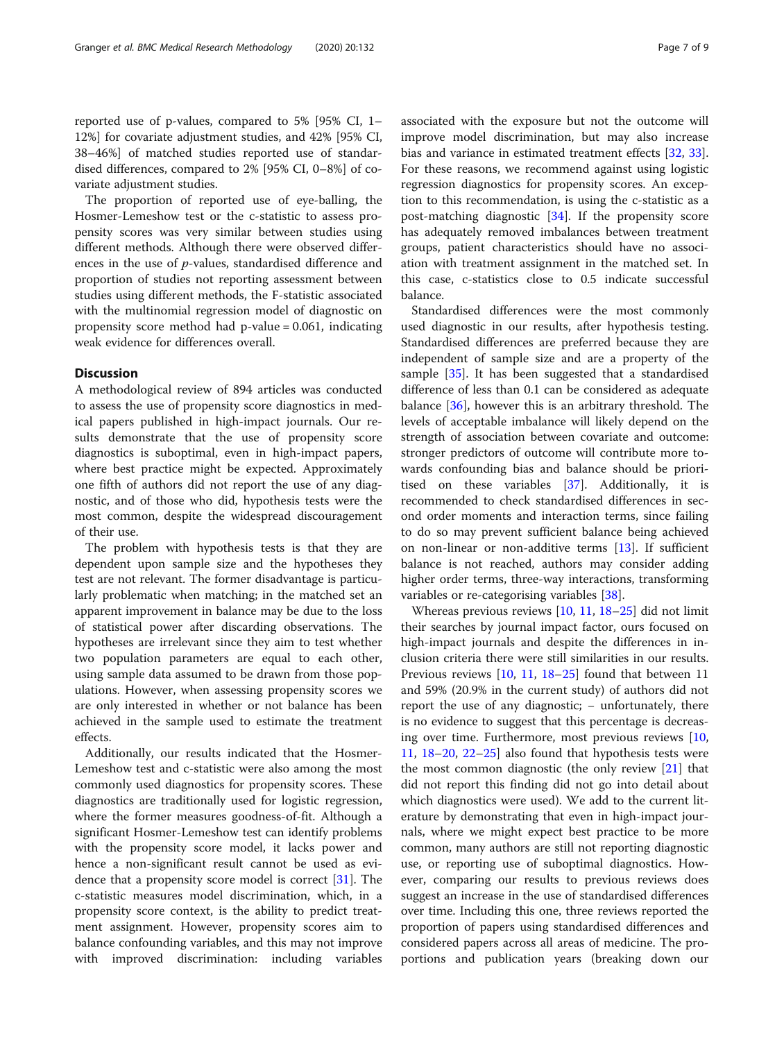reported use of p-values, compared to 5% [95% CI, 1– 12%] for covariate adjustment studies, and 42% [95% CI, 38–46%] of matched studies reported use of standardised differences, compared to 2% [95% CI, 0–8%] of covariate adjustment studies.

The proportion of reported use of eye-balling, the Hosmer-Lemeshow test or the c-statistic to assess propensity scores was very similar between studies using different methods. Although there were observed differences in the use of p-values, standardised difference and proportion of studies not reporting assessment between studies using different methods, the F-statistic associated with the multinomial regression model of diagnostic on propensity score method had p-value = 0.061, indicating weak evidence for differences overall.

# **Discussion**

A methodological review of 894 articles was conducted to assess the use of propensity score diagnostics in medical papers published in high-impact journals. Our results demonstrate that the use of propensity score diagnostics is suboptimal, even in high-impact papers, where best practice might be expected. Approximately one fifth of authors did not report the use of any diagnostic, and of those who did, hypothesis tests were the most common, despite the widespread discouragement of their use.

The problem with hypothesis tests is that they are dependent upon sample size and the hypotheses they test are not relevant. The former disadvantage is particularly problematic when matching; in the matched set an apparent improvement in balance may be due to the loss of statistical power after discarding observations. The hypotheses are irrelevant since they aim to test whether two population parameters are equal to each other, using sample data assumed to be drawn from those populations. However, when assessing propensity scores we are only interested in whether or not balance has been achieved in the sample used to estimate the treatment effects.

Additionally, our results indicated that the Hosmer-Lemeshow test and c-statistic were also among the most commonly used diagnostics for propensity scores. These diagnostics are traditionally used for logistic regression, where the former measures goodness-of-fit. Although a significant Hosmer-Lemeshow test can identify problems with the propensity score model, it lacks power and hence a non-significant result cannot be used as evidence that a propensity score model is correct [[31\]](#page-8-0). The c-statistic measures model discrimination, which, in a propensity score context, is the ability to predict treatment assignment. However, propensity scores aim to balance confounding variables, and this may not improve with improved discrimination: including variables associated with the exposure but not the outcome will improve model discrimination, but may also increase bias and variance in estimated treatment effects [\[32](#page-8-0), [33](#page-8-0)]. For these reasons, we recommend against using logistic regression diagnostics for propensity scores. An exception to this recommendation, is using the c-statistic as a post-matching diagnostic [[34\]](#page-8-0). If the propensity score has adequately removed imbalances between treatment groups, patient characteristics should have no association with treatment assignment in the matched set. In this case, c-statistics close to 0.5 indicate successful balance.

Standardised differences were the most commonly used diagnostic in our results, after hypothesis testing. Standardised differences are preferred because they are independent of sample size and are a property of the sample [[35\]](#page-8-0). It has been suggested that a standardised difference of less than 0.1 can be considered as adequate balance [\[36\]](#page-8-0), however this is an arbitrary threshold. The levels of acceptable imbalance will likely depend on the strength of association between covariate and outcome: stronger predictors of outcome will contribute more towards confounding bias and balance should be prioritised on these variables [\[37](#page-8-0)]. Additionally, it is recommended to check standardised differences in second order moments and interaction terms, since failing to do so may prevent sufficient balance being achieved on non-linear or non-additive terms [[13\]](#page-8-0). If sufficient balance is not reached, authors may consider adding higher order terms, three-way interactions, transforming variables or re-categorising variables [[38\]](#page-8-0).

Whereas previous reviews [\[10](#page-8-0), [11](#page-8-0), [18](#page-8-0)–[25\]](#page-8-0) did not limit their searches by journal impact factor, ours focused on high-impact journals and despite the differences in inclusion criteria there were still similarities in our results. Previous reviews [\[10](#page-8-0), [11,](#page-8-0) [18](#page-8-0)–[25](#page-8-0)] found that between 11 and 59% (20.9% in the current study) of authors did not report the use of any diagnostic; − unfortunately, there is no evidence to suggest that this percentage is decreasing over time. Furthermore, most previous reviews [[10](#page-8-0), [11,](#page-8-0) [18](#page-8-0)–[20,](#page-8-0) [22](#page-8-0)–[25](#page-8-0)] also found that hypothesis tests were the most common diagnostic (the only review [[21\]](#page-8-0) that did not report this finding did not go into detail about which diagnostics were used). We add to the current literature by demonstrating that even in high-impact journals, where we might expect best practice to be more common, many authors are still not reporting diagnostic use, or reporting use of suboptimal diagnostics. However, comparing our results to previous reviews does suggest an increase in the use of standardised differences over time. Including this one, three reviews reported the proportion of papers using standardised differences and considered papers across all areas of medicine. The proportions and publication years (breaking down our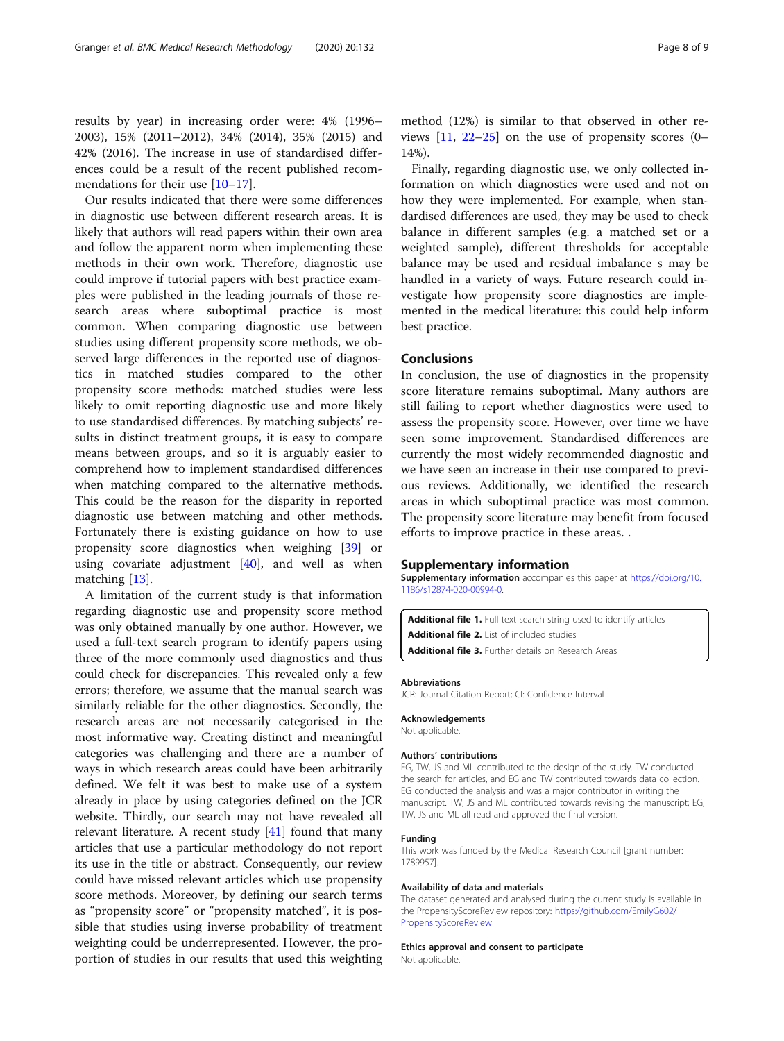<span id="page-7-0"></span>results by year) in increasing order were: 4% (1996– 2003), 15% (2011–2012), 34% (2014), 35% (2015) and 42% (2016). The increase in use of standardised differences could be a result of the recent published recom-mendations for their use [[10](#page-8-0)–[17](#page-8-0)].

Our results indicated that there were some differences in diagnostic use between different research areas. It is likely that authors will read papers within their own area and follow the apparent norm when implementing these methods in their own work. Therefore, diagnostic use could improve if tutorial papers with best practice examples were published in the leading journals of those research areas where suboptimal practice is most common. When comparing diagnostic use between studies using different propensity score methods, we observed large differences in the reported use of diagnostics in matched studies compared to the other propensity score methods: matched studies were less likely to omit reporting diagnostic use and more likely to use standardised differences. By matching subjects' results in distinct treatment groups, it is easy to compare means between groups, and so it is arguably easier to comprehend how to implement standardised differences when matching compared to the alternative methods. This could be the reason for the disparity in reported diagnostic use between matching and other methods. Fortunately there is existing guidance on how to use propensity score diagnostics when weighing [[39\]](#page-8-0) or using covariate adjustment [\[40](#page-8-0)], and well as when matching [[13\]](#page-8-0).

A limitation of the current study is that information regarding diagnostic use and propensity score method was only obtained manually by one author. However, we used a full-text search program to identify papers using three of the more commonly used diagnostics and thus could check for discrepancies. This revealed only a few errors; therefore, we assume that the manual search was similarly reliable for the other diagnostics. Secondly, the research areas are not necessarily categorised in the most informative way. Creating distinct and meaningful categories was challenging and there are a number of ways in which research areas could have been arbitrarily defined. We felt it was best to make use of a system already in place by using categories defined on the JCR website. Thirdly, our search may not have revealed all relevant literature. A recent study  $[41]$  $[41]$  found that many articles that use a particular methodology do not report its use in the title or abstract. Consequently, our review could have missed relevant articles which use propensity score methods. Moreover, by defining our search terms as "propensity score" or "propensity matched", it is possible that studies using inverse probability of treatment weighting could be underrepresented. However, the proportion of studies in our results that used this weighting

method (12%) is similar to that observed in other reviews  $[11, 22-25]$  $[11, 22-25]$  $[11, 22-25]$  $[11, 22-25]$  $[11, 22-25]$  $[11, 22-25]$  on the use of propensity scores  $(0-$ 14%).

Finally, regarding diagnostic use, we only collected information on which diagnostics were used and not on how they were implemented. For example, when standardised differences are used, they may be used to check balance in different samples (e.g. a matched set or a weighted sample), different thresholds for acceptable balance may be used and residual imbalance s may be handled in a variety of ways. Future research could investigate how propensity score diagnostics are implemented in the medical literature: this could help inform best practice.

#### Conclusions

In conclusion, the use of diagnostics in the propensity score literature remains suboptimal. Many authors are still failing to report whether diagnostics were used to assess the propensity score. However, over time we have seen some improvement. Standardised differences are currently the most widely recommended diagnostic and we have seen an increase in their use compared to previous reviews. Additionally, we identified the research areas in which suboptimal practice was most common. The propensity score literature may benefit from focused efforts to improve practice in these areas. .

## Supplementary information

Supplementary information accompanies this paper at [https://doi.org/10.](https://doi.org/10.1186/s12874-020-00994-0) [1186/s12874-020-00994-0](https://doi.org/10.1186/s12874-020-00994-0).

Additional file 1. Full text search string used to identify articles Additional file 2. List of included studies Additional file 3. Further details on Research Areas

#### Abbreviations

JCR: Journal Citation Report; CI: Confidence Interval

#### Acknowledgements

Not applicable.

#### Authors' contributions

EG, TW, JS and ML contributed to the design of the study. TW conducted the search for articles, and EG and TW contributed towards data collection. EG conducted the analysis and was a major contributor in writing the manuscript. TW, JS and ML contributed towards revising the manuscript; EG, TW, JS and ML all read and approved the final version.

## Funding

This work was funded by the Medical Research Council [grant number: 1789957].

#### Availability of data and materials

The dataset generated and analysed during the current study is available in the PropensityScoreReview repository: [https://github.com/EmilyG602/](https://github.com/EmilyG602/PropensityScoreReview) [PropensityScoreReview](https://github.com/EmilyG602/PropensityScoreReview)

#### Ethics approval and consent to participate

Not applicable.